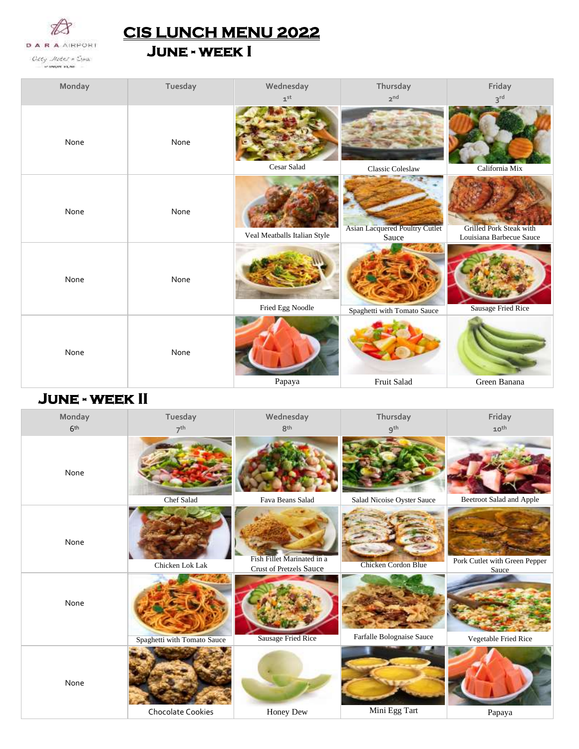

**CIS LUNCH MENU 2022** 

**June - week I** 

| Monday | Tuesday | Wednesday                    | Thursday                                       | Friday                                                     |
|--------|---------|------------------------------|------------------------------------------------|------------------------------------------------------------|
|        |         | $\mathbf{1}^{\text{st}}$     | 2 <sup>nd</sup>                                | $3^{\text{rd}}$                                            |
| None   | None    | Cesar Salad                  | Classic Coleslaw                               | California Mix                                             |
| None   | None    | Veal Meatballs Italian Style | <b>Asian Lacquered Poultry Cutlet</b><br>Sauce | <b>Grilled Pork Steak with</b><br>Louisiana Barbecue Sauce |
| None   | None    | Fried Egg Noodle             | Spaghetti with Tomato Sauce                    | Sausage Fried Rice                                         |
| None   | None    | Papaya                       | Fruit Salad                                    | Green Banana                                               |

## **June - week II**

| Monday          | Tuesday                     | Wednesday                                                    | Thursday                   | Friday                                 |
|-----------------|-----------------------------|--------------------------------------------------------------|----------------------------|----------------------------------------|
| 6 <sup>th</sup> | 7 <sup>th</sup>             | 8 <sup>th</sup>                                              | 9 <sup>th</sup>            | $10^{th}$                              |
| None            | Chef Salad                  | Fava Beans Salad                                             | Salad Nicoise Oyster Sauce | Beetroot Salad and Apple               |
|                 |                             |                                                              |                            |                                        |
| None            | Chicken Lok Lak             | Fish Fillet Marinated in a<br><b>Crust of Pretzels Sauce</b> | <b>Chicken Cordon Blue</b> | Pork Cutlet with Green Pepper<br>Sauce |
| None            | Spaghetti with Tomato Sauce | <b>Sausage Fried Rice</b>                                    | Farfalle Bolognaise Sauce  | Vegetable Fried Rice                   |
| None            | Chocolate Cookies           | Honey Dew                                                    | Mini Egg Tart              | Papaya                                 |